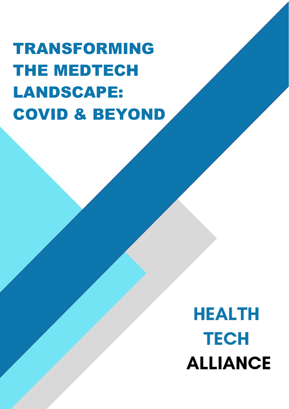TRANSFORMING THE MEDTECH LANDSCAPE: COVID & BEYOND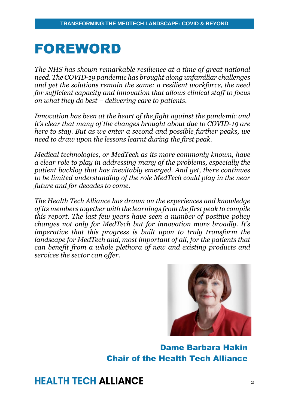### FOREWORD

*The NHS has shown remarkable resilience at a time of great national need. The COVID-19 pandemic has brought along unfamiliar challenges and yet the solutions remain the same: a resilient workforce, the need for sufficient capacity and innovation that allows clinical staff to focus on what they do best – delivering care to patients.* 

*Innovation has been at the heart of the fight against the pandemic and it's clear that many of the changes brought about due to COVID-19 are here to stay. But as we enter a second and possible further peaks, we need to draw upon the lessons learnt during the first peak.* 

*Medical technologies, or MedTech as its more commonly known, have a clear role to play in addressing many of the problems, especially the patient backlog that has inevitably emerged. And yet, there continues to be limited understanding of the role MedTech could play in the near future and for decades to come.* 

*The Health Tech Alliance has drawn on the experiences and knowledge of its members together with the learnings from the first peak to compile this report. The last few years have seen a number of positive policy changes not only for MedTech but for innovation more broadly. It's imperative that this progress is built upon to truly transform the landscape for MedTech and, most important of all, for the patients that can benefit from a whole plethora of new and existing products and services the sector can offer.* 



Dame Barbara Hakin Chair of the Health Tech Alliance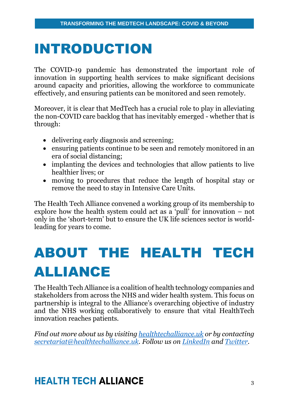### INTRODUCTION

The COVID-19 pandemic has demonstrated the important role of innovation in supporting health services to make significant decisions around capacity and priorities, allowing the workforce to communicate effectively, and ensuring patients can be monitored and seen remotely.

Moreover, it is clear that MedTech has a crucial role to play in alleviating the non-COVID care backlog that has inevitably emerged - whether that is through:

- delivering early diagnosis and screening;
- ensuring patients continue to be seen and remotely monitored in an era of social distancing;
- implanting the devices and technologies that allow patients to live healthier lives; or
- moving to procedures that reduce the length of hospital stay or remove the need to stay in Intensive Care Units.

The Health Tech Alliance convened a working group of its membership to explore how the health system could act as a 'pull' for innovation – not only in the 'short-term' but to ensure the UK life sciences sector is worldleading for years to come.

# ABOUT THE HEALTH TECH ALLIANCE

The Health Tech Alliance is a coalition of health technology companies and stakeholders from across the NHS and wider health system. This focus on partnership is integral to the Alliance's overarching objective of industry and the NHS working collaboratively to ensure that vital HealthTech innovation reaches patients.

*Find out more about us by visiting [healthtechalliance.uk](http://www.healthtechalliance.uk/) or by contacting [secretariat@healthtechalliance.uk.](mailto:secretariat@healthtechalliance.uk) Follow us on [LinkedIn](https://www.linkedin.com/company/health-tech-alliance/?viewAsMember=true) and [Twitter.](https://twitter.com/HTA_Tweets)*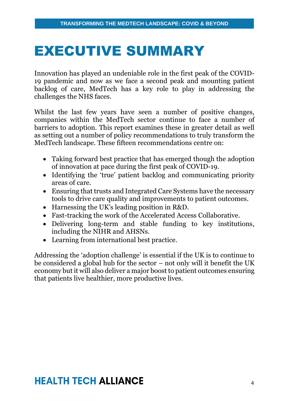### EXECUTIVE SUMMARY

Innovation has played an undeniable role in the first peak of the COVID-19 pandemic and now as we face a second peak and mounting patient backlog of care, MedTech has a key role to play in addressing the challenges the NHS faces.

Whilst the last few years have seen a number of positive changes, companies within the MedTech sector continue to face a number of barriers to adoption. This report examines these in greater detail as well as setting out a number of policy recommendations to truly transform the MedTech landscape. These fifteen recommendations centre on:

- Taking forward best practice that has emerged though the adoption of innovation at pace during the first peak of COVID-19.
- Identifying the 'true' patient backlog and communicating priority areas of care.
- Ensuring that trusts and Integrated Care Systems have the necessary tools to drive care quality and improvements to patient outcomes.
- Harnessing the UK's leading position in R&D.
- Fast-tracking the work of the Accelerated Access Collaborative.
- Delivering long-term and stable funding to key institutions, including the NIHR and AHSNs.
- Learning from international best practice.

Addressing the 'adoption challenge' is essential if the UK is to continue to be considered a global hub for the sector – not only will it benefit the UK economy but it will also deliver a major boost to patient outcomes ensuring that patients live healthier, more productive lives.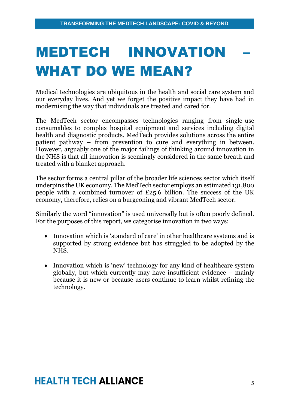# MEDTECH INNOVATION WHAT DO WE MEAN?

Medical technologies are ubiquitous in the health and social care system and our everyday lives. And yet we forget the positive impact they have had in modernising the way that individuals are treated and cared for.

The MedTech sector encompasses technologies ranging from single-use consumables to complex hospital equipment and services including digital health and diagnostic products. MedTech provides solutions across the entire patient pathway – from prevention to cure and everything in between. However, arguably one of the major failings of thinking around innovation in the NHS is that all innovation is seemingly considered in the same breath and treated with a blanket approach.

The sector forms a central pillar of the broader life sciences sector which itself underpins the UK economy. The MedTech sector employs an estimated 131,800 people with a combined turnover of £25.6 billion. The success of the UK economy, therefore, relies on a burgeoning and vibrant MedTech sector.

Similarly the word "innovation" is used universally but is often poorly defined. For the purposes of this report, we categorise innovation in two ways:

- Innovation which is 'standard of care' in other healthcare systems and is supported by strong evidence but has struggled to be adopted by the NHS.
- Innovation which is 'new' technology for any kind of healthcare system globally, but which currently may have insufficient evidence – mainly because it is new or because users continue to learn whilst refining the technology.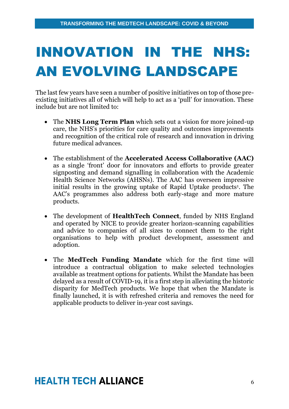# INNOVATION IN THE NHS: AN EVOLVING LANDSCAPE

The last few years have seen a number of positive initiatives on top of those preexisting initiatives all of which will help to act as a 'pull' for innovation. These include but are not limited to:

- The **NHS Long Term Plan** which sets out a vision for more joined-up care, the NHS's priorities for care quality and outcomes improvements and recognition of the critical role of research and innovation in driving future medical advances.
- The establishment of the **Accelerated Access Collaborative (AAC)** as a single 'front' door for innovators and efforts to provide greater signposting and demand signalling in collaboration with the Academic Health Science Networks (AHSNs). The AAC has overseen impressive initial results in the growing uptake of Rapid Uptake products<sup>1</sup>. The AAC's programmes also address both early-stage and more mature products.
- The development of **HealthTech Connect**, funded by NHS England and operated by NICE to provide greater horizon-scanning capabilities and advice to companies of all sizes to connect them to the right organisations to help with product development, assessment and adoption.
- The **MedTech Funding Mandate** which for the first time will introduce a contractual obligation to make selected technologies available as treatment options for patients. Whilst the Mandate has been delayed as a result of COVID-19, it is a first step in alleviating the historic disparity for MedTech products. We hope that when the Mandate is finally launched, it is with refreshed criteria and removes the need for applicable products to deliver in-year cost savings.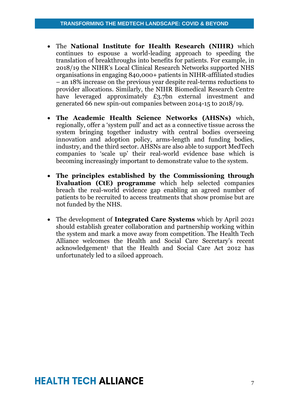- The **National Institute for Health Research (NIHR)** which continues to espouse a world-leading approach to speeding the translation of breakthroughs into benefits for patients. For example, in 2018/19 the NIHR's Local Clinical Research Networks supported NHS organisations in engaging 840,000+ patients in NIHR-affiliated studies – an 18% increase on the previous year despite real-terms reductions to provider allocations. Similarly, the NIHR Biomedical Research Centre have leveraged approximately £3.7bn external investment and generated 66 new spin-out companies between 2014-15 to 2018/19.
- **The Academic Health Science Networks (AHSNs)** which, regionally, offer a 'system pull' and act as a connective tissue across the system bringing together industry with central bodies overseeing innovation and adoption policy, arms-length and funding bodies, industry, and the third sector. AHSNs are also able to support MedTech companies to 'scale up' their real-world evidence base which is becoming increasingly important to demonstrate value to the system.
- **The principles established by the Commissioning through Evaluation (CtE) programme** which help selected companies breach the real-world evidence gap enabling an agreed number of patients to be recruited to access treatments that show promise but are not funded by the NHS.
- The development of **Integrated Care Systems** which by April 2021 should establish greater collaboration and partnership working within the system and mark a move away from competition. The Health Tech Alliance welcomes the Health and Social Care Secretary's recent acknowledgement<sup>1</sup> that the Health and Social Care Act 2012 has unfortunately led to a siloed approach.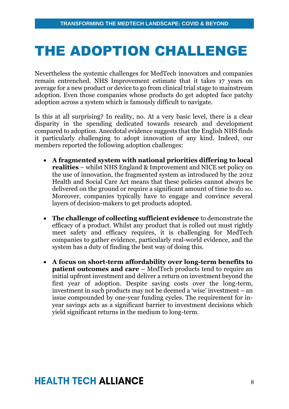## THE ADOPTION CHALLENGE

Nevertheless the systemic challenges for MedTech innovators and companies remain entrenched. NHS Improvement estimate that it takes 17 years on average for a new product or device to go from clinical trial stage to mainstream adoption. Even those companies whose products do get adopted face patchy adoption across a system which is famously difficult to navigate.

Is this at all surprising? In reality, no. At a very basic level, there is a clear disparity in the spending dedicated towards research and development compared to adoption. Anecdotal evidence suggests that the English NHS finds it particularly challenging to adopt innovation of any kind. Indeed, our members reported the following adoption challenges:

- **A fragmented system with national priorities differing to local realities** – whilst NHS England & Improvement and NICE set policy on the use of innovation, the fragmented system as introduced by the 2012 Health and Social Care Act means that these policies cannot always be delivered on the ground or require a significant amount of time to do so. Moreover, companies typically have to engage and convince several layers of decision-makers to get products adopted.
- **The challenge of collecting sufficient evidence** to demonstrate the efficacy of a product. Whilst any product that is rolled out must rightly meet safety and efficacy requires, it is challenging for MedTech companies to gather evidence, particularly real-world evidence, and the system has a duty of finding the best way of doing this.
- **A focus on short-term affordability over long-term benefits to patient outcomes and care** – MedTech products tend to require an initial upfront investment and deliver a return on investment beyond the first year of adoption. Despite saving costs over the long-term, investment in such products may not be deemed a 'wise' investment – an issue compounded by one-year funding cycles. The requirement for inyear savings acts as a significant barrier to investment decisions which yield significant returns in the medium to long-term.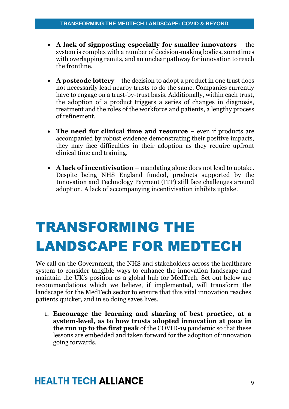- **A lack of signposting especially for smaller innovators** the system is complex with a number of decision-making bodies, sometimes with overlapping remits, and an unclear pathway for innovation to reach the frontline.
- **A postcode lottery** the decision to adopt a product in one trust does not necessarily lead nearby trusts to do the same. Companies currently have to engage on a trust-by-trust basis. Additionally, within each trust, the adoption of a product triggers a series of changes in diagnosis, treatment and the roles of the workforce and patients, a lengthy process of refinement.
- **The need for clinical time and resource** even if products are accompanied by robust evidence demonstrating their positive impacts, they may face difficulties in their adoption as they require upfront clinical time and training.
- **A lack of incentivisation** mandating alone does not lead to uptake. Despite being NHS England funded, products supported by the Innovation and Technology Payment (ITP) still face challenges around adoption. A lack of accompanying incentivisation inhibits uptake.

## TRANSFORMING THE LANDSCAPE FOR MEDTECH

We call on the Government, the NHS and stakeholders across the healthcare system to consider tangible ways to enhance the innovation landscape and maintain the UK's position as a global hub for MedTech. Set out below are recommendations which we believe, if implemented, will transform the landscape for the MedTech sector to ensure that this vital innovation reaches patients quicker, and in so doing saves lives.

1. **Encourage the learning and sharing of best practice, at a system-level, as to how trusts adopted innovation at pace in the run up to the first peak** of the COVID-19 pandemic so that these lessons are embedded and taken forward for the adoption of innovation going forwards.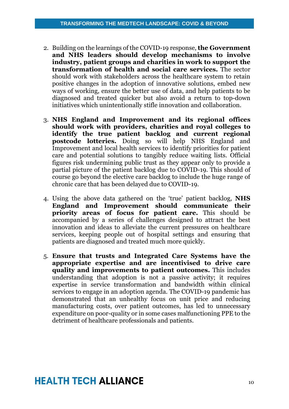- 2. Building on the learnings of the COVID-19 response, **the Government and NHS leaders should develop mechanisms to involve industry, patient groups and charities in work to support the transformation of health and social care services.** The sector should work with stakeholders across the healthcare system to retain positive changes in the adoption of innovative solutions, embed new ways of working, ensure the better use of data, and help patients to be diagnosed and treated quicker but also avoid a return to top-down initiatives which unintentionally stifle innovation and collaboration.
- 3. **NHS England and Improvement and its regional offices should work with providers, charities and royal colleges to identify the true patient backlog and current regional postcode lotteries.** Doing so will help NHS England and Improvement and local health services to identify priorities for patient care and potential solutions to tangibly reduce waiting lists. Official figures risk undermining public trust as they appear only to provide a partial picture of the patient backlog due to COVID-19. This should of course go beyond the elective care backlog to include the huge range of chronic care that has been delayed due to COVID-19.
- 4. Using the above data gathered on the 'true' patient backlog, **NHS England and Improvement should communicate their priority areas of focus for patient care.** This should be accompanied by a series of challenges designed to attract the best innovation and ideas to alleviate the current pressures on healthcare services, keeping people out of hospital settings and ensuring that patients are diagnosed and treated much more quickly.
- 5. **Ensure that trusts and Integrated Care Systems have the appropriate expertise and are incentivised to drive care quality and improvements to patient outcomes.** This includes understanding that adoption is not a passive activity; it requires expertise in service transformation and bandwidth within clinical services to engage in an adoption agenda. The COVID-19 pandemic has demonstrated that an unhealthy focus on unit price and reducing manufacturing costs, over patient outcomes, has led to unnecessary expenditure on poor-quality or in some cases malfunctioning PPE to the detriment of healthcare professionals and patients.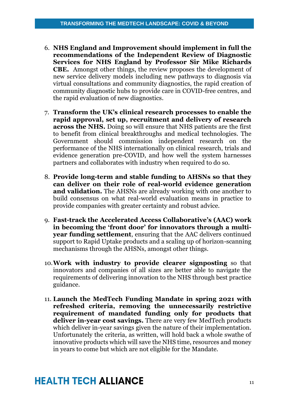- 6. **NHS England and Improvement should implement in full the recommendations of the Independent Review of Diagnostic Services for NHS England by Professor Sir Mike Richards CBE.** Amongst other things, the review proposes the development of new service delivery models including new pathways to diagnosis via virtual consultations and community diagnostics, the rapid creation of community diagnostic hubs to provide care in COVID-free centres, and the rapid evaluation of new diagnostics.
- 7. **Transform the UK's clinical research processes to enable the rapid approval, set up, recruitment and delivery of research across the NHS.** Doing so will ensure that NHS patients are the first to benefit from clinical breakthroughs and medical technologies. The Government should commission independent research on the performance of the NHS internationally on clinical research, trials and evidence generation pre-COVID, and how well the system harnesses partners and collaborates with industry when required to do so.
- 8. **Provide long-term and stable funding to AHSNs so that they can deliver on their role of real-world evidence generation and validation.** The AHSNs are already working with one another to build consensus on what real-world evaluation means in practice to provide companies with greater certainty and robust advice.
- 9. **Fast-track the Accelerated Access Collaborative's (AAC) work in becoming the 'front door' for innovators through a multiyear funding settlement**, ensuring that the AAC delivers continued support to Rapid Uptake products and a scaling up of horizon-scanning mechanisms through the AHSNs, amongst other things.
- 10.**Work with industry to provide clearer signposting** so that innovators and companies of all sizes are better able to navigate the requirements of delivering innovation to the NHS through best practice guidance.
- 11. **Launch the MedTech Funding Mandate in spring 2021 with refreshed criteria, removing the unnecessarily restrictive requirement of mandated funding only for products that deliver in-year cost savings.** There are very few MedTech products which deliver in-year savings given the nature of their implementation. Unfortunately the criteria, as written, will hold back a whole swathe of innovative products which will save the NHS time, resources and money in years to come but which are not eligible for the Mandate.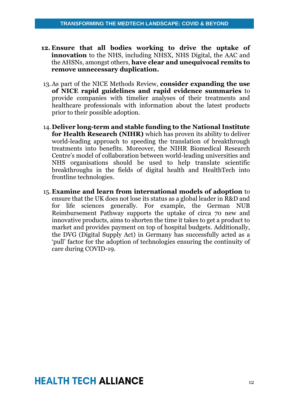- **12. Ensure that all bodies working to drive the uptake of innovation** to the NHS, including NHSX, NHS Digital, the AAC and the AHSNs, amongst others, **have clear and unequivocal remits to remove unnecessary duplication.**
- 13.As part of the NICE Methods Review, **consider expanding the use of NICE rapid guidelines and rapid evidence summaries** to provide companies with timelier analyses of their treatments and healthcare professionals with information about the latest products prior to their possible adoption.
- 14.**Deliver long-term and stable funding to the National Institute for Health Research (NIHR)** which has proven its ability to deliver world-leading approach to speeding the translation of breakthrough treatments into benefits. Moreover, the NIHR Biomedical Research Centre's model of collaboration between world-leading universities and NHS organisations should be used to help translate scientific breakthroughs in the fields of digital health and HealthTech into frontline technologies.
- 15. **Examine and learn from international models of adoption** to ensure that the UK does not lose its status as a global leader in R&D and for life sciences generally. For example, the German NUB Reimbursement Pathway supports the uptake of circa 70 new and innovative products, aims to shorten the time it takes to get a product to market and provides payment on top of hospital budgets. Additionally, the DVG (Digital Supply Act) in Germany has successfully acted as a 'pull' factor for the adoption of technologies ensuring the continuity of care during COVID-19.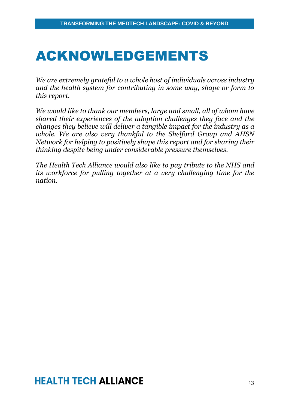### ACKNOWLEDGEMENTS

*We are extremely grateful to a whole host of individuals across industry and the health system for contributing in some way, shape or form to this report.* 

*We would like to thank our members, large and small, all of whom have shared their experiences of the adoption challenges they face and the changes they believe will deliver a tangible impact for the industry as a whole. We are also very thankful to the Shelford Group and AHSN Network for helping to positively shape this report and for sharing their thinking despite being under considerable pressure themselves.* 

*The Health Tech Alliance would also like to pay tribute to the NHS and its workforce for pulling together at a very challenging time for the nation.*